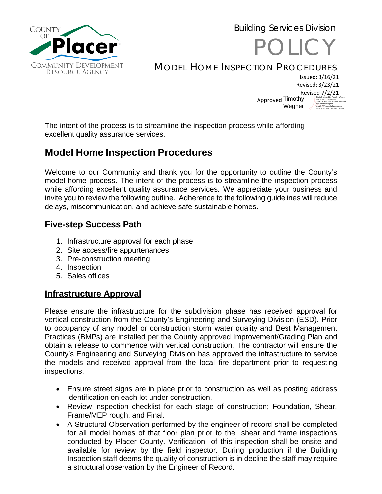

# POLICY MODEL HOME INSPECTION PROCEDURES

Issued: 3/16/21 Revised: 3/23/21 Revised 7/2/21 Approved Timothy Wegner Digitally signed by Timothy Wegner DN: dc=ad, dc=placerco, ou=PLACER, ou=DEWITT, ou=CDR, cn=Timothy Wegner, email=TWegner@placer.ca.gov Date: 2021.07.02 14:43:01 -07'00'

Building Services Division

The intent of the process is to streamline the inspection process while affording excellent quality assurance services.

# **Model Home Inspection Procedures**

Welcome to our Community and thank you for the opportunity to outline the County's model home process. The intent of the process is to streamline the inspection process while affording excellent quality assurance services. We appreciate your business and invite you to review the following outline. Adherence to the following guidelines will reduce delays, miscommunication, and achieve safe sustainable homes.

## **Five-step Success Path**

- 1. Infrastructure approval for each phase
- 2. Site access/fire appurtenances
- 3. Pre-construction meeting
- 4. Inspection
- 5. Sales offices

## **Infrastructure Approval**

Please ensure the infrastructure for the subdivision phase has received approval for vertical construction from the County's Engineering and Surveying Division (ESD). Prior to occupancy of any model or construction storm water quality and Best Management Practices (BMPs) are installed per the County approved Improvement/Grading Plan and obtain a release to commence with vertical construction. The contractor will ensure the County's Engineering and Surveying Division has approved the infrastructure to service the models and received approval from the local fire department prior to requesting inspections.

- Ensure street signs are in place prior to construction as well as posting address identification on each lot under construction.
- Review inspection checklist for each stage of construction; Foundation, Shear, Frame/MEP rough, and Final.
- A Structural Observation performed by the engineer of record shall be completed for all model homes of that floor plan prior to the shear and frame inspections conducted by Placer County. Verification of this inspection shall be onsite and available for review by the field inspector. During production if the Building Inspection staff deems the quality of construction is in decline the staff may require a structural observation by the Engineer of Record.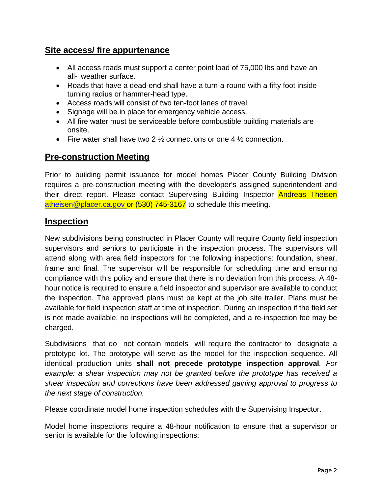#### **Site access/ fire appurtenance**

- All access roads must support a center point load of 75,000 lbs and have an all- weather surface.
- Roads that have a dead-end shall have a turn-a-round with a fifty foot inside turning radius or hammer-head type.
- Access roads will consist of two ten-foot lanes of travel.
- Signage will be in place for emergency vehicle access.
- All fire water must be serviceable before combustible building materials are onsite.
- Fire water shall have two 2  $\frac{1}{2}$  connections or one 4  $\frac{1}{2}$  connection.

#### **Pre-construction Meeting**

Prior to building permit issuance for model homes Placer County Building Division requires a pre-construction meeting with the developer's assigned superintendent and their direct report. Please contact Supervising Building Inspector Andreas Theisen [atheisen@placer.ca.gov](mailto:atheisen@placer.ca.gov) or (530) 745-3167 to schedule this meeting.

#### **Inspection**

New subdivisions being constructed in Placer County will require County field inspection supervisors and seniors to participate in the inspection process. The supervisors will attend along with area field inspectors for the following inspections: foundation, shear, frame and final. The supervisor will be responsible for scheduling time and ensuring compliance with this policy and ensure that there is no deviation from this process. A 48 hour notice is required to ensure a field inspector and supervisor are available to conduct the inspection. The approved plans must be kept at the job site trailer. Plans must be available for field inspection staff at time of inspection. During an inspection if the field set is not made available, no inspections will be completed, and a re-inspection fee may be charged.

Subdivisions that do not contain models will require the contractor to designate a prototype lot. The prototype will serve as the model for the inspection sequence. All identical production units **shall not precede prototype inspection approval***. For example: a shear inspection may not be granted before the prototype has received a shear inspection and corrections have been addressed gaining approval to progress to the next stage of construction.*

Please coordinate model home inspection schedules with the Supervising Inspector.

Model home inspections require a 48-hour notification to ensure that a supervisor or senior is available for the following inspections: